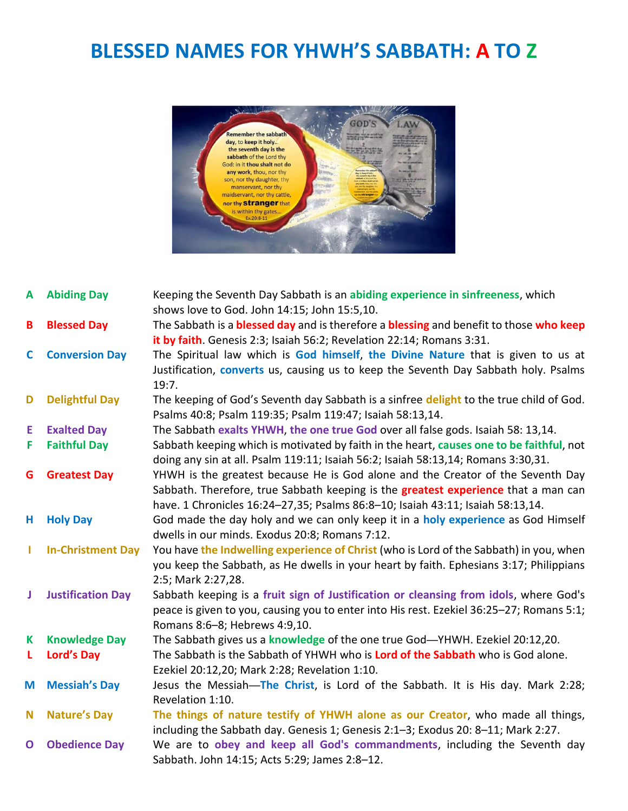## **BLESSED NAMES FOR YHWH'S SABBATH: A TO Z**



| A            | <b>Abiding Day</b>       | Keeping the Seventh Day Sabbath is an abiding experience in sinfreeness, which<br>shows love to God. John 14:15; John 15:5,10.                                                                                                                                 |
|--------------|--------------------------|----------------------------------------------------------------------------------------------------------------------------------------------------------------------------------------------------------------------------------------------------------------|
| B            | <b>Blessed Day</b>       | The Sabbath is a <b>blessed day</b> and is therefore a <b>blessing</b> and benefit to those who keep<br>it by faith. Genesis 2:3; Isaiah 56:2; Revelation 22:14; Romans 3:31.                                                                                  |
| $\mathbf{C}$ | <b>Conversion Day</b>    | The Spiritual law which is God himself, the Divine Nature that is given to us at<br>Justification, <b>converts</b> us, causing us to keep the Seventh Day Sabbath holy. Psalms<br>19:7.                                                                        |
| D            | <b>Delightful Day</b>    | The keeping of God's Seventh day Sabbath is a sinfree delight to the true child of God.<br>Psalms 40:8; Psalm 119:35; Psalm 119:47; Isaiah 58:13,14.                                                                                                           |
| E            | <b>Exalted Day</b>       | The Sabbath exalts YHWH, the one true God over all false gods. Isaiah 58: 13,14.                                                                                                                                                                               |
| F            | <b>Faithful Day</b>      | Sabbath keeping which is motivated by faith in the heart, causes one to be faithful, not<br>doing any sin at all. Psalm 119:11; Isaiah 56:2; Isaiah 58:13,14; Romans 3:30,31.                                                                                  |
| G            | <b>Greatest Day</b>      | YHWH is the greatest because He is God alone and the Creator of the Seventh Day<br>Sabbath. Therefore, true Sabbath keeping is the <b>greatest experience</b> that a man can<br>have. 1 Chronicles 16:24-27,35; Psalms 86:8-10; Isaiah 43:11; Isaiah 58:13,14. |
| н,           | <b>Holy Day</b>          | God made the day holy and we can only keep it in a holy experience as God Himself<br>dwells in our minds. Exodus 20:8; Romans 7:12.                                                                                                                            |
|              | <b>In-Christment Day</b> | You have the Indwelling experience of Christ (who is Lord of the Sabbath) in you, when<br>you keep the Sabbath, as He dwells in your heart by faith. Ephesians 3:17; Philippians<br>2:5; Mark 2:27,28.                                                         |
| J            | <b>Justification Day</b> | Sabbath keeping is a fruit sign of Justification or cleansing from idols, where God's<br>peace is given to you, causing you to enter into His rest. Ezekiel 36:25-27; Romans 5:1;<br>Romans 8:6-8; Hebrews 4:9,10.                                             |
| Κ            | <b>Knowledge Day</b>     | The Sabbath gives us a knowledge of the one true God-YHWH. Ezekiel 20:12,20.                                                                                                                                                                                   |
| L.           | <b>Lord's Day</b>        | The Sabbath is the Sabbath of YHWH who is Lord of the Sabbath who is God alone.<br>Ezekiel 20:12,20; Mark 2:28; Revelation 1:10.                                                                                                                               |
| M            | <b>Messiah's Day</b>     | Jesus the Messiah-The Christ, is Lord of the Sabbath. It is His day. Mark 2:28;<br>Revelation 1:10.                                                                                                                                                            |
| N            | <b>Nature's Day</b>      | The things of nature testify of YHWH alone as our Creator, who made all things,<br>including the Sabbath day. Genesis 1; Genesis 2:1-3; Exodus 20: 8-11; Mark 2:27.                                                                                            |
| $\mathbf 0$  | <b>Obedience Day</b>     | We are to obey and keep all God's commandments, including the Seventh day<br>Sabbath. John 14:15; Acts 5:29; James 2:8-12.                                                                                                                                     |